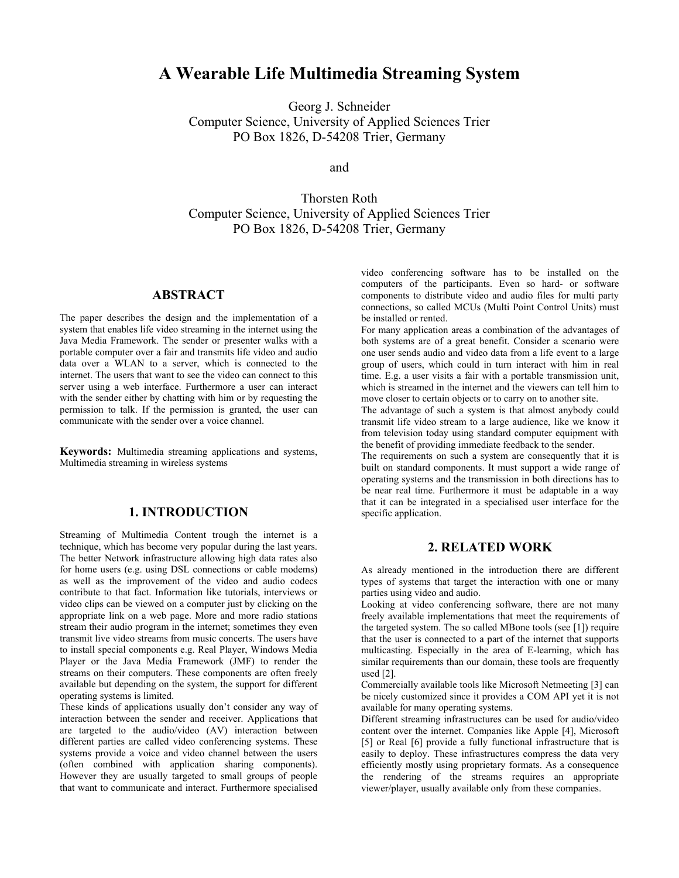# **A Wearable Life Multimedia Streaming System**

Georg J. Schneider Computer Science, University of Applied Sciences Trier PO Box 1826, D-54208 Trier, Germany

and

Thorsten Roth Computer Science, University of Applied Sciences Trier PO Box 1826, D-54208 Trier, Germany

## **ABSTRACT**

The paper describes the design and the implementation of a system that enables life video streaming in the internet using the Java Media Framework. The sender or presenter walks with a portable computer over a fair and transmits life video and audio data over a WLAN to a server, which is connected to the internet. The users that want to see the video can connect to this server using a web interface. Furthermore a user can interact with the sender either by chatting with him or by requesting the permission to talk. If the permission is granted, the user can communicate with the sender over a voice channel.

**Keywords:** Multimedia streaming applications and systems, Multimedia streaming in wireless systems

# **1. INTRODUCTION**

Streaming of Multimedia Content trough the internet is a technique, which has become very popular during the last years. The better Network infrastructure allowing high data rates also for home users (e.g. using DSL connections or cable modems) as well as the improvement of the video and audio codecs contribute to that fact. Information like tutorials, interviews or video clips can be viewed on a computer just by clicking on the appropriate link on a web page. More and more radio stations stream their audio program in the internet; sometimes they even transmit live video streams from music concerts. The users have to install special components e.g. Real Player, Windows Media Player or the Java Media Framework (JMF) to render the streams on their computers. These components are often freely available but depending on the system, the support for different operating systems is limited.

These kinds of applications usually don't consider any way of interaction between the sender and receiver. Applications that are targeted to the audio/video (AV) interaction between different parties are called video conferencing systems. These systems provide a voice and video channel between the users (often combined with application sharing components). However they are usually targeted to small groups of people that want to communicate and interact. Furthermore specialised video conferencing software has to be installed on the computers of the participants. Even so hard- or software components to distribute video and audio files for multi party connections, so called MCUs (Multi Point Control Units) must be installed or rented.

For many application areas a combination of the advantages of both systems are of a great benefit. Consider a scenario were one user sends audio and video data from a life event to a large group of users, which could in turn interact with him in real time. E.g. a user visits a fair with a portable transmission unit, which is streamed in the internet and the viewers can tell him to move closer to certain objects or to carry on to another site.

The advantage of such a system is that almost anybody could transmit life video stream to a large audience, like we know it from television today using standard computer equipment with the benefit of providing immediate feedback to the sender.

The requirements on such a system are consequently that it is built on standard components. It must support a wide range of operating systems and the transmission in both directions has to be near real time. Furthermore it must be adaptable in a way that it can be integrated in a specialised user interface for the specific application.

### **2. RELATED WORK**

As already mentioned in the introduction there are different types of systems that target the interaction with one or many parties using video and audio.

Looking at video conferencing software, there are not many freely available implementations that meet the requirements of the targeted system. The so called MBone tools (see [1]) require that the user is connected to a part of the internet that supports multicasting. Especially in the area of E-learning, which has similar requirements than our domain, these tools are frequently used [2].

Commercially available tools like Microsoft Netmeeting [3] can be nicely customized since it provides a COM API yet it is not available for many operating systems.

Different streaming infrastructures can be used for audio/video content over the internet. Companies like Apple [4], Microsoft [5] or Real [6] provide a fully functional infrastructure that is easily to deploy. These infrastructures compress the data very efficiently mostly using proprietary formats. As a consequence the rendering of the streams requires an appropriate viewer/player, usually available only from these companies.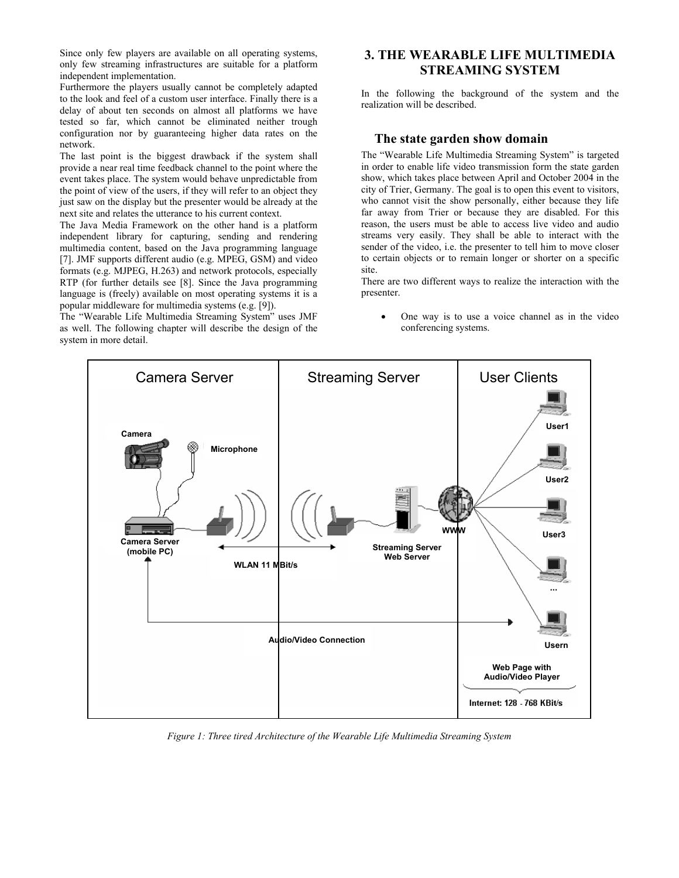Since only few players are available on all operating systems, only few streaming infrastructures are suitable for a platform independent implementation.

Furthermore the players usually cannot be completely adapted to the look and feel of a custom user interface. Finally there is a delay of about ten seconds on almost all platforms we have tested so far, which cannot be eliminated neither trough configuration nor by guaranteeing higher data rates on the network.

The last point is the biggest drawback if the system shall provide a near real time feedback channel to the point where the event takes place. The system would behave unpredictable from the point of view of the users, if they will refer to an object they just saw on the display but the presenter would be already at the next site and relates the utterance to his current context.

The Java Media Framework on the other hand is a platform independent library for capturing, sending and rendering multimedia content, based on the Java programming language [7]. JMF supports different audio (e.g. MPEG, GSM) and video formats (e.g. MJPEG, H.263) and network protocols, especially RTP (for further details see [8]. Since the Java programming language is (freely) available on most operating systems it is a popular middleware for multimedia systems (e.g. [9]).

The "Wearable Life Multimedia Streaming System" uses JMF as well. The following chapter will describe the design of the system in more detail.

# **3. THE WEARABLE LIFE MULTIMEDIA STREAMING SYSTEM**

In the following the background of the system and the realization will be described.

#### **The state garden show domain**

The "Wearable Life Multimedia Streaming System" is targeted in order to enable life video transmission form the state garden show, which takes place between April and October 2004 in the city of Trier, Germany. The goal is to open this event to visitors, who cannot visit the show personally, either because they life far away from Trier or because they are disabled. For this reason, the users must be able to access live video and audio streams very easily. They shall be able to interact with the sender of the video, i.e. the presenter to tell him to move closer to certain objects or to remain longer or shorter on a specific site.

There are two different ways to realize the interaction with the presenter.

• One way is to use a voice channel as in the video conferencing systems.



*Figure 1: Three tired Architecture of the Wearable Life Multimedia Streaming System*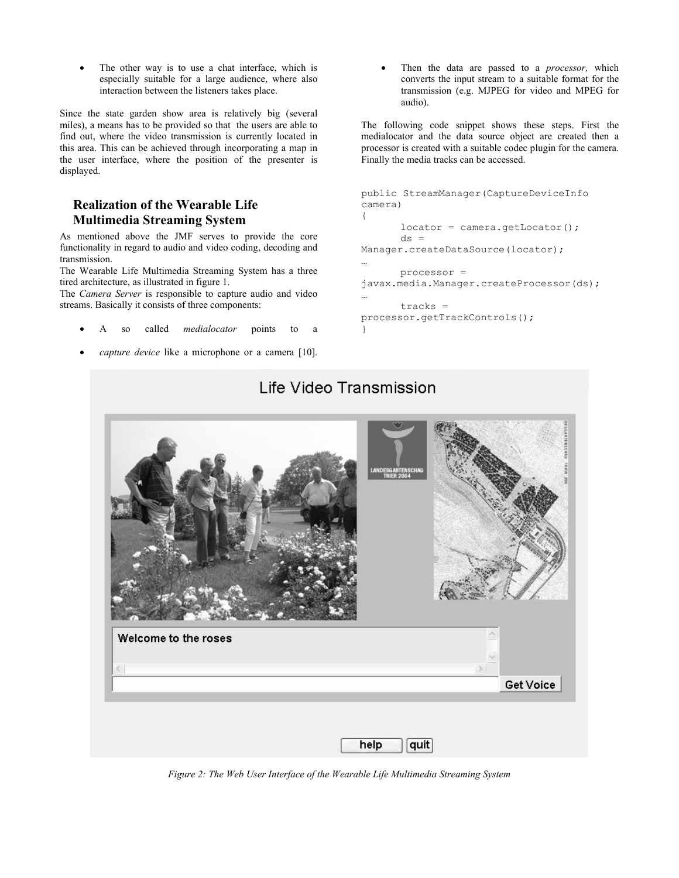The other way is to use a chat interface, which is especially suitable for a large audience, where also interaction between the listeners takes place.

Since the state garden show area is relatively big (several miles), a means has to be provided so that the users are able to find out, where the video transmission is currently located in this area. This can be achieved through incorporating a map in the user interface, where the position of the presenter is displayed.

# **Realization of the Wearable Life Multimedia Streaming System**

As mentioned above the JMF serves to provide the core functionality in regard to audio and video coding, decoding and transmission.

The Wearable Life Multimedia Streaming System has a three tired architecture, as illustrated in figure 1.

The *Camera Server* is responsible to capture audio and video streams. Basically it consists of three components:

- A so called *medialocator* points to a
- capture device like a microphone or a camera [10].

• Then the data are passed to a *processor,* which converts the input stream to a suitable format for the transmission (e.g. MJPEG for video and MPEG for audio).

The following code snippet shows these steps. First the medialocator and the data source object are created then a processor is created with a suitable codec plugin for the camera. Finally the media tracks can be accessed.

```
public StreamManager(CaptureDeviceInfo 
camera) 
{ 
       locator = camera.getLocator(); 
       ds =Manager.createDataSource(locator); 
… 
       processor = 
javax.media.Manager.createProcessor(ds); 
… 
       tracks = 
processor.getTrackControls(); 
}
```


*Figure 2: The Web User Interface of the Wearable Life Multimedia Streaming System* 

# Life Video Transmission